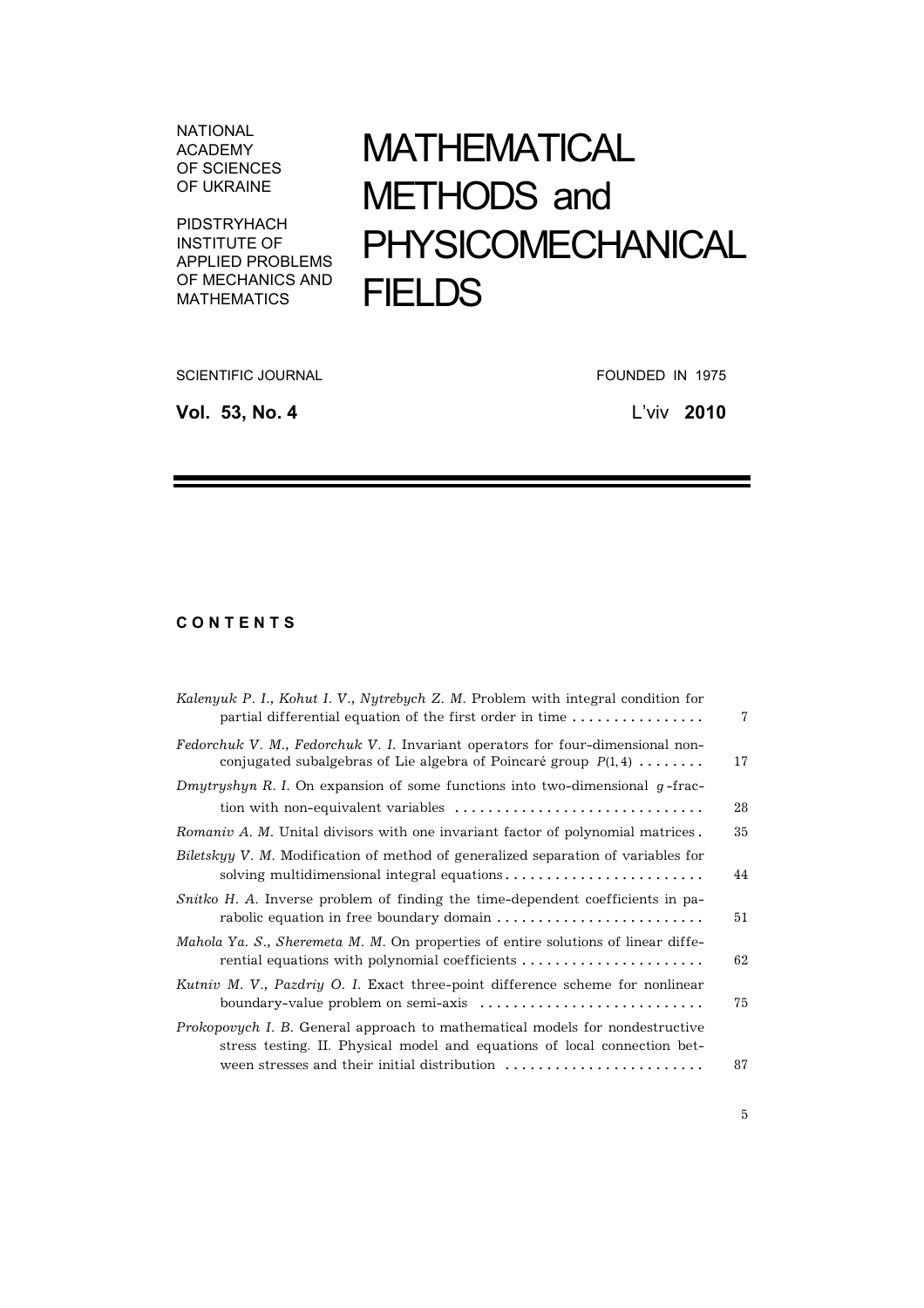NATIONAL ACADEMY OF SCIENCES OF UKRAINE

PIDSTRYHACH INSTITUTE OF APPLIED PROBLEMS OF MECHANICS AND MATHEMATICS

## МАТHЕМАТІCAL МЕТHОDS and PHYSICOМЕCHANICAL **FIELDS**

SCIENTIFIC JOURNAL **EXECUTE IS A SCIENTIFIC JOURNAL** FOUNDED IN 1975

**Vol. 53, No. 4** L'viv **2010**

## **C O N T E N T S**

| Kalenyuk P. I., Kohut I. V., Nytrebych Z. M. Problem with integral condition for<br>partial differential equation of the first order in time              | 7  |
|-----------------------------------------------------------------------------------------------------------------------------------------------------------|----|
| Fedorchuk V. M., Fedorchuk V. I. Invariant operators for four-dimensional non-<br>conjugated subalgebras of Lie algebra of Poincaré group $P(1,4)$        | 17 |
| Dmytryshyn R. I. On expansion of some functions into two-dimensional $g$ -frac-                                                                           |    |
|                                                                                                                                                           | 28 |
| Romaniv A. M. Unital divisors with one invariant factor of polynomial matrices.                                                                           | 35 |
| Biletskyy V. M. Modification of method of generalized separation of variables for<br>solving multidimensional integral equations                          | 44 |
| Snitko H. A. Inverse problem of finding the time-dependent coefficients in pa-<br>rabolic equation in free boundary domain                                | 51 |
| Mahola Ya. S., Sheremeta M. M. On properties of entire solutions of linear diffe-<br>rential equations with polynomial coefficients                       | 62 |
| Kutniv M. V., Pazdriy O. I. Exact three-point difference scheme for nonlinear<br>boundary-value problem on semi-axis                                      | 75 |
| Prokopovych I. B. General approach to mathematical models for nondestructive<br>stress testing. II. Physical model and equations of local connection bet- | 87 |
|                                                                                                                                                           |    |